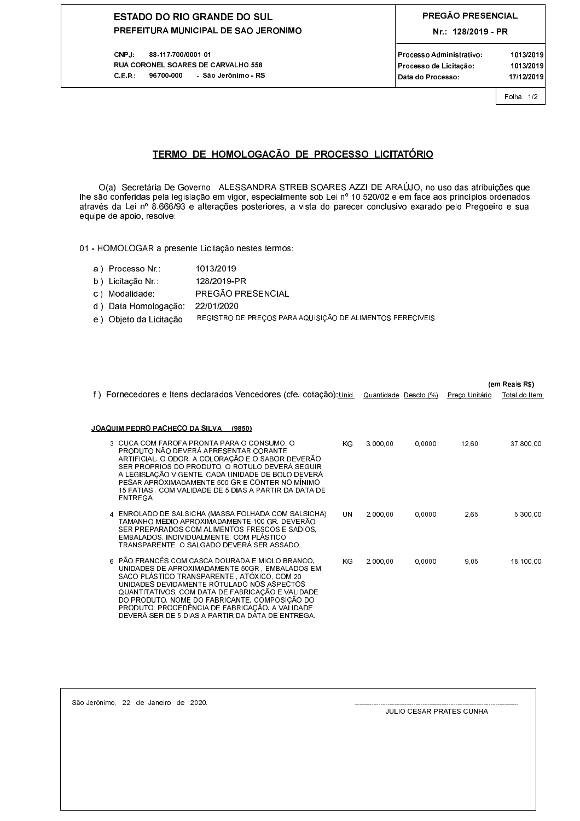## **ESTADO DO RIO GRANDE DO SUL** PREFEITURA MUNICIPAL DE SAO JERONIMO

CNPJ: 88.117.700/0001.01 RUA CORONEL SOARES DE CARVALHO 558 C.E.P.: 96700-000 São Jerônimo - RS

Folha: 1/2

## TERMO DE HOMOLOGAÇÃO DE PROCESSO LICITATÓRIO

O(a) Secretária De Governo, ALESSANDRA STREB SOARES AZZI DE ARAÚJO, no uso das atribuições que lhe são conferidas pela legislação em vigor, especialmente sob Lei nº 10.520/02 e em face aos princípios ordenados através da Lei nº 8.666/93 e alterações posteriores, a vista do parecer conclusivo exarado pelo Pregoeiro e sua equipe de apoio, resolve:

01 - HOMOLOGAR a presente Licitação nestes termos:

- a) Processo Nr.: 1013/2019
- b) Licitação Nr. 128/2019-PR
- c) Modalidade: PREGÃO PRESENCIAL
- d) Data Homologação: 22/01/2020
- REGISTRO DE PREÇOS PARA AQUISIÇÃO DE ALIMENTOS PERECIVEIS e) Objeto da Licitação

|                                                                                                                                                                                                                                                                                                                                                                                                               |                       |        | (em Reais R\$) |               |  |
|---------------------------------------------------------------------------------------------------------------------------------------------------------------------------------------------------------------------------------------------------------------------------------------------------------------------------------------------------------------------------------------------------------------|-----------------------|--------|----------------|---------------|--|
| f) Fornecedores e Itens declarados Vencedores (cfe. cotação): Unid.                                                                                                                                                                                                                                                                                                                                           | Quantidade Descto (%) |        | Preço Unitário | Total do Item |  |
| JOAQUIM PEDRO PACHECO DA SILVA<br>(9850)                                                                                                                                                                                                                                                                                                                                                                      |                       |        |                |               |  |
| 3 CUCA COM FAROFA PRONTA PARA O CONSUMO. O<br>ΚG<br>PRODUTO NÃO DEVERÁ APRESENTAR CORANTE<br>ARTIFICIAL. O ODOR, A COLORAÇÃO E O SABOR DEVERÃO<br>SER PROPRIOS DO PRODUTO. O ROTULO DEVERÁ SEGUIR<br>A LEGISLAÇÃO VIGENTE. CADA UNIDADE DE BOLO DEVERÁ<br>PESAR APROXIMADAMENTE 500 GR E CONTER NO MÍNIMO<br>15 FATIAS, COM VALIDADE DE 5 DIAS A PARTIR DA DATA DE<br>ENTREGA.                                | 3.000.00              | 0.0000 | 12,60          | 37.800.00     |  |
| 4 ENROLADO DE SALSICHA (MASSA FOLHADA COM SALSICHA)<br>UN<br>TAMANHO MÉDIO APROXIMADAMENTE 100 GR. DEVERÃO<br>SER PREPARADOS COM ALIMENTOS FRESCOS E SADIOS.<br>EMBALADOS, INDIVIDUALMENTE, COM PLÁSTICO<br>TRANSPARENTE, O SALGADO DEVERÁ SER ASSADO.                                                                                                                                                        | 2.000.00              | 0.0000 | 2.65           | 5.300,00      |  |
| 6 PÃO FRANCÊS COM CASCA DOURADA E MIOLO BRANCO.<br>ΚG<br>UNIDADES DE APROXIMADAMENTE 50GR EMBALADOS EM<br>SACO PLÁSTICO TRANSPARENTE ATÓXICO COM 20<br>UNIDADES DEVIDAMENTE ROTULADO NOS ASPECTOS<br>QUANTITATIVOS, COM DATA DE FABRICAÇÃO E VALIDADE<br>DO PRODUTO, NOME DO FABRICANTE, COMPOSIÇÃO DO<br>PRODUTO, PROCEDÊNCIA DE FABRICAÇÃO. A VALIDADE<br>DEVERÁ SER DE 5 DIAS A PARTIR DA DATA DE ENTREGA. | 2.000.00              | 0.0000 | 9.05           | 18.100.00     |  |

São Jerônimo, 22 de Janeiro de 2020.

**JULIO CESAR PRATES CUNHA**